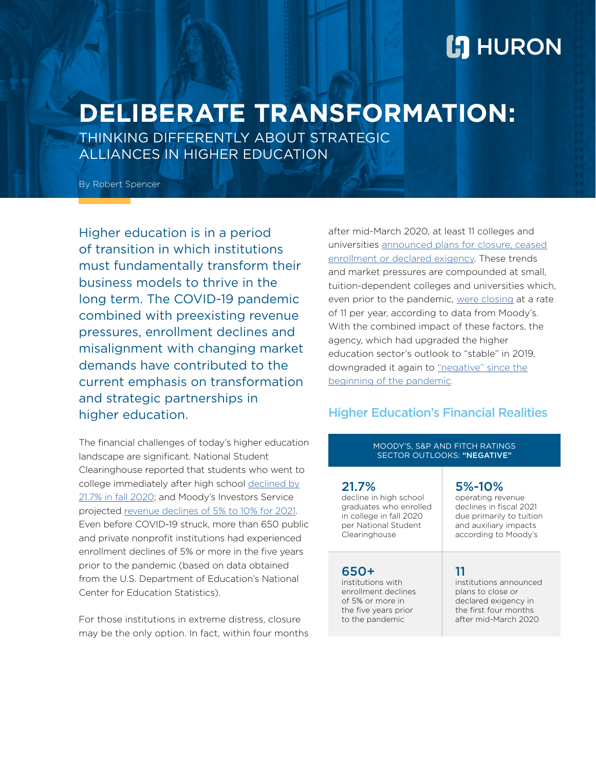# **L'I** HURON

# **DELIBERATE TRANSFORMATION:**

THINKING DIFFERENTLY ABOUT STRATEGIC ALLIANCES IN HIGHER EDUCATION

By Robert Spencer

Higher education is in a period of transition in which institutions must fundamentally transform their business models to thrive in the long term. The COVID-19 pandemic combined with preexisting revenue pressures, enrollment declines and misalignment with changing market demands have contributed to the current emphasis on transformation and strategic partnerships in higher education.

The financial challenges of today's higher education landscape are significant. National Student Clearinghouse reported that students who went to college immediately after high school [declined by](https://www.studentclearinghouse.org/blog/high-school-class-of-2020-college-enrollments-decline-22-compared-to-2019-class/) [21.7% in fall 2020](https://www.studentclearinghouse.org/blog/high-school-class-of-2020-college-enrollments-decline-22-compared-to-2019-class/); and Moody's Investors Service projected [revenue declines of 5% to 10% for 2021.](https://www.moodys.com/research/Moodys-Outlook-for-US-higher-education-sector-remains-negative-in--PBM_1255981) Even before COVID-19 struck, more than 650 public and private nonprofit institutions had experienced enrollment declines of 5% or more in the five years prior to the pandemic (based on data obtained from the U.S. Department of Education's National Center for Education Statistics).

For those institutions in extreme distress, closure may be the only option. In fact, within four months after mid-March 2020, at least 11 colleges and universities [announced plans for closure, ceased](http://www.linkedin.com/pulse/avoiding-path-closure-jennifer-ramey/?trackingId=sq3nWbqpRo%2BqeDYNOfALIw%3D%3D) [enrollment or declared exigency](http://www.linkedin.com/pulse/avoiding-path-closure-jennifer-ramey/?trackingId=sq3nWbqpRo%2BqeDYNOfALIw%3D%3D). These trends and market pressures are compounded at small, tuition-dependent colleges and universities which, even prior to the pandemic, [were closing](http://www.insidehighered.com/quicktakes/2018/07/25/moodys-private-college-closures-11-year) at a rate of 11 per year, according to data from Moody's. With the combined impact of these factors, the agency, which had upgraded the higher education sector's outlook to "stable" in 2019, downgraded it again to ["negative" since the](http://www.educationdive.com/news/moodys-lowers-higher-ed-outlook-to-negative-amid-coronavirus-crisis/574414/) [beginning of the pandemic.](http://www.educationdive.com/news/moodys-lowers-higher-ed-outlook-to-negative-amid-coronavirus-crisis/574414/)

### Higher Education's Financial Realities

MOODY'S, S&P AND FITCH RATINGS **SECTOR OUTLOOKS: "NEGATIVE"** 

| 21.7%                   | 5%-10%                   |
|-------------------------|--------------------------|
| decline in high school  | operating revenue        |
| graduates who enrolled  | declines in fiscal 2021  |
| in college in fall 2020 | due primarily to tuition |
| per National Student    | and auxiliary impacts    |
| Clearinghouse           | according to Moody's     |
| 650+                    | 11                       |
| institutions with       | institutions announced   |
| enrollment declines     | plans to close or        |
| of 5% or more in        | declared exigency in     |
| the five years prior    | the first four months    |
| to the pandemic         | after mid-March 2020     |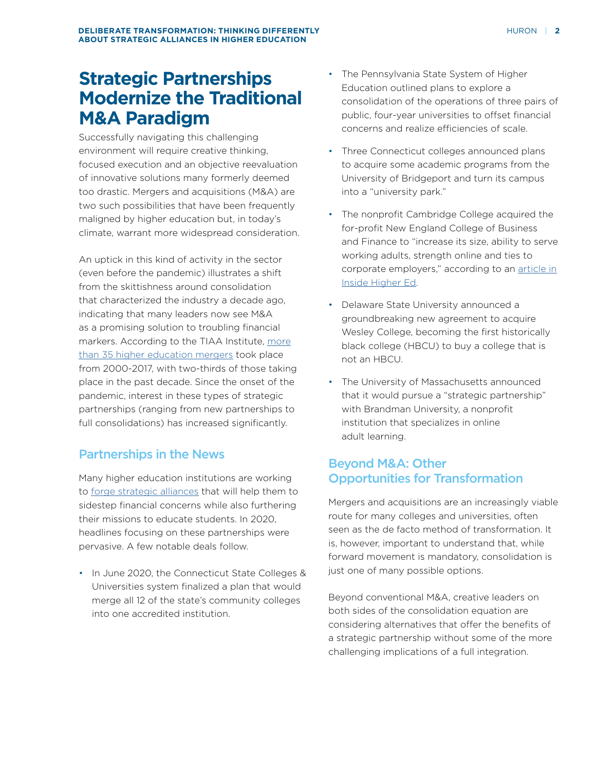### **Strategic Partnerships Modernize the Traditional M&A Paradigm**

Successfully navigating this challenging environment will require creative thinking, focused execution and an objective reevaluation of innovative solutions many formerly deemed too drastic. Mergers and acquisitions (M&A) are two such possibilities that have been frequently maligned by higher education but, in today's climate, warrant more widespread consideration.

An uptick in this kind of activity in the sector (even before the pandemic) illustrates a shift from the skittishness around consolidation that characterized the industry a decade ago, indicating that many leaders now see M&A as a promising solution to troubling financial markers. According to the TIAA Institute, [more](http://www.tiaainstitute.org/sites/default/files/presentations/2017-09/TIAA%20Institute_Higher%20Ed%20Mergers%20Report_Azziz_September%202017.pdf) [than 35 higher education mergers](http://www.tiaainstitute.org/sites/default/files/presentations/2017-09/TIAA%20Institute_Higher%20Ed%20Mergers%20Report_Azziz_September%202017.pdf) took place from 2000-2017, with two-thirds of those taking place in the past decade. Since the onset of the pandemic, interest in these types of strategic partnerships (ranging from new partnerships to full consolidations) has increased significantly.

### Partnerships in the News

Many higher education institutions are working to [forge strategic alliances](http://www.huronconsultinggroup.com/insights/higher-education-creative-financially-viable) that will help them to sidestep financial concerns while also furthering their missions to educate students. In 2020, headlines focusing on these partnerships were pervasive. A few notable deals follow.

• In June 2020, the Connecticut State Colleges & Universities system finalized a plan that would merge all 12 of the state's community colleges into one accredited institution.

- The Pennsylvania State System of Higher Education outlined plans to explore a consolidation of the operations of three pairs of public, four-year universities to offset financial concerns and realize efficiencies of scale.
- Three Connecticut colleges announced plans to acquire some academic programs from the University of Bridgeport and turn its campus into a "university park."
- The nonprofit Cambridge College acquired the for-profit New England College of Business and Finance to "increase its size, ability to serve working adults, strength online and ties to corporate employers," according to an [article in](http://www.insidehighered.com/news/2020/03/06/cambridge-college-acquiring-profit-college-doubling-down-online-offerings-working) [Inside Higher Ed.](http://www.insidehighered.com/news/2020/03/06/cambridge-college-acquiring-profit-college-doubling-down-online-offerings-working)
- Delaware State University announced a groundbreaking new agreement to acquire Wesley College, becoming the first historically black college (HBCU) to buy a college that is not an HBCU.
- The University of Massachusetts announced that it would pursue a "strategic partnership" with Brandman University, a nonprofit institution that specializes in online adult learning.

### Beyond M&A: Other Opportunities for Transformation

Mergers and acquisitions are an increasingly viable route for many colleges and universities, often seen as the de facto method of transformation. It is, however, important to understand that, while forward movement is mandatory, consolidation is just one of many possible options.

Beyond conventional M&A, creative leaders on both sides of the consolidation equation are considering alternatives that offer the benefits of a strategic partnership without some of the more challenging implications of a full integration.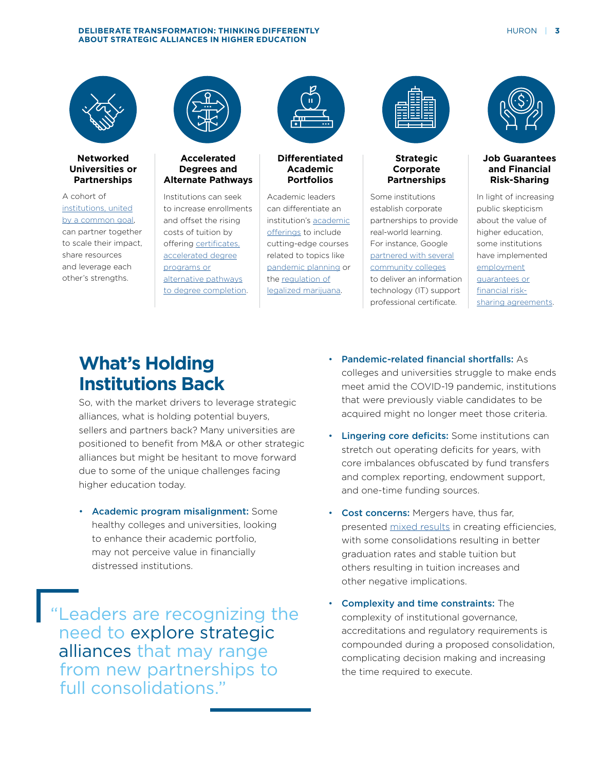#### **DELIBERATE TRANSFORMATION: THINKING DIFFERENTLY AND RESIDENT CONSTRUCTS AND RESIDENT ASSESSMENT OF A 3 ABOUT STRATEGIC ALLIANCES IN HIGHER EDUCATION**



#### **Networked Universities or Partnerships**

A cohort of [institutions, united](http://www.pearson.com/content/dam/one-dot-com/one-dot-com/global/Files/about-pearson/innovation/the-networked-university/Pearson_The_Networked_University_v22-1_WEB.pdf) [by a common goal](http://www.pearson.com/content/dam/one-dot-com/one-dot-com/global/Files/about-pearson/innovation/the-networked-university/Pearson_The_Networked_University_v22-1_WEB.pdf), can partner together to scale their impact, share resources and leverage each other's strengths.



#### **Accelerated Degrees and Alternate Pathways**

Institutions can seek to increase enrollments and offset the rising costs of tuition by offering [certificates,](http://www.usnews.com/education/best-colleges/paying-for-college/articles/certificate-programs-high-paying-jobs-minus-the-debt) [accelerated degree](http://www.usnews.com/education/best-colleges/paying-for-college/articles/certificate-programs-high-paying-jobs-minus-the-debt) [programs or](http://www.usnews.com/education/best-colleges/paying-for-college/articles/certificate-programs-high-paying-jobs-minus-the-debt) [alternative pathways](http://www.usnews.com/education/best-colleges/paying-for-college/articles/certificate-programs-high-paying-jobs-minus-the-debt) [to degree completion](http://www.usnews.com/education/best-colleges/paying-for-college/articles/certificate-programs-high-paying-jobs-minus-the-debt).



#### **Differentiated Academic Portfolios**

Academic leaders can differentiate an institution's [academic](http://www.huronconsultinggroup.com/insights/achieve-financial-success-data-driven-approach-academic-portfolio-management) [offerings](http://www.huronconsultinggroup.com/insights/achieve-financial-success-data-driven-approach-academic-portfolio-management) to include cutting-edge courses related to topics like [pandemic planning](http://www.insidehighered.com/views/2020/07/01/college-course-pandemic-offers-lessons-value-liberal-arts-education-opinion) or the [regulation of](http://www.nytimes.com/2019/10/10/education/learning/colleges-survival-strategies.html?auth=login-email&login=email) [legalized marijuana.](http://www.nytimes.com/2019/10/10/education/learning/colleges-survival-strategies.html?auth=login-email&login=email)



#### **Strategic Corporate Partnerships**

Some institutions establish corporate partnerships to provide real-world learning. For instance, Google [partnered with several](http://edtechmagazine.com/higher/article/2018/07/major-companies-partner-colleges-education-opportunities-emerging-tech) [community colleges](http://edtechmagazine.com/higher/article/2018/07/major-companies-partner-colleges-education-opportunities-emerging-tech) to deliver an information technology (IT) support professional certificate.



#### **Job Guarantees and Financial Risk-Sharing**

In light of increasing public skepticism about the value of higher education, some institutions have implemented [employment](http://hechingerreport.org/colleges-pushed-stand-behind-sell-money-back-guarantees/) [guarantees or](http://hechingerreport.org/colleges-pushed-stand-behind-sell-money-back-guarantees/) [financial risk](http://hechingerreport.org/colleges-pushed-stand-behind-sell-money-back-guarantees/)[sharing agreements.](http://hechingerreport.org/colleges-pushed-stand-behind-sell-money-back-guarantees/)

# **What's Holding Institutions Back**

So, with the market drivers to leverage strategic alliances, what is holding potential buyers, sellers and partners back? Many universities are positioned to benefit from M&A or other strategic alliances but might be hesitant to move forward due to some of the unique challenges facing higher education today.

• Academic program misalignment: Some healthy colleges and universities, looking to enhance their academic portfolio, may not perceive value in financially distressed institutions.

"Leaders are recognizing the need to explore strategic alliances that may range from new partnerships to full consolidations."

- Pandemic-related financial shortfalls: As colleges and universities struggle to make ends meet amid the COVID-19 pandemic, institutions that were previously viable candidates to be acquired might no longer meet those criteria.
- **Lingering core deficits:** Some institutions can stretch out operating deficits for years, with core imbalances obfuscated by fund transfers and complex reporting, endowment support, and one-time funding sources.
- Cost concerns: Mergers have, thus far, presented [mixed results](http://www.pewtrusts.org/en/research-and-analysis/blogs/stateline/2017/03/29/merging-colleges-to-cut-costs-and-still-boost-graduation-rates) in creating efficiencies, with some consolidations resulting in better graduation rates and stable tuition but others resulting in tuition increases and other negative implications.
- Complexity and time constraints: The complexity of institutional governance, accreditations and regulatory requirements is compounded during a proposed consolidation, complicating decision making and increasing the time required to execute.